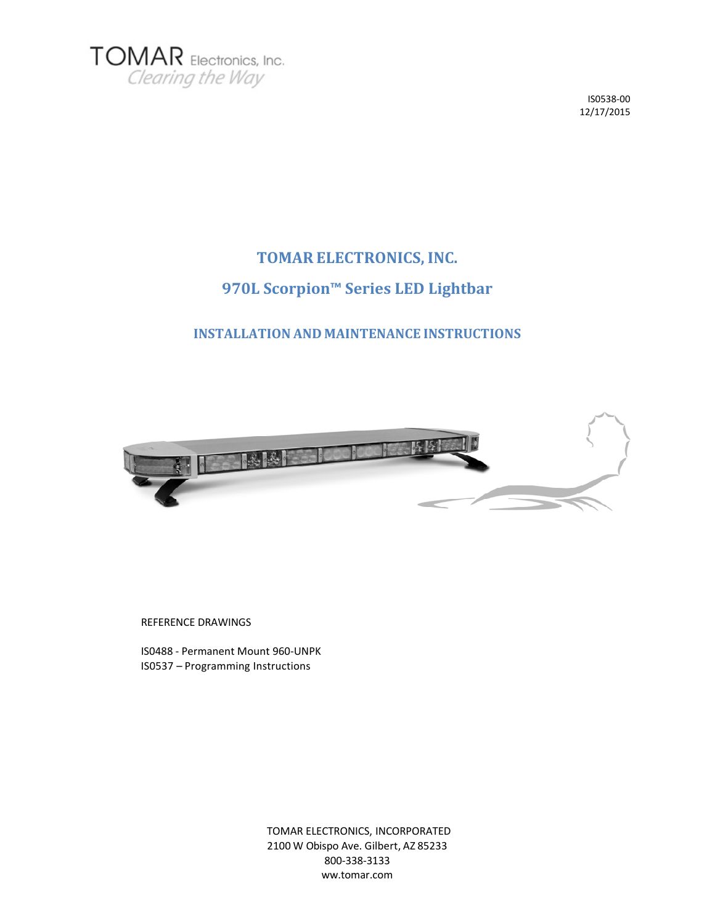

# **TOMAR ELECTRONICS, INC. 970L Scorpion™ Series LED Lightbar**

## **INSTALLATION AND MAINTENANCE INSTRUCTIONS**



REFERENCE DRAWINGS

IS0488 ‐ Permanent Mount 960‐UNPK IS0537 – Programming Instructions

> TOMAR ELECTRONICS, INCORPORATED 2100 W Obispo Ave. Gilbert, AZ 85233 800‐338‐3133 ww.tomar.com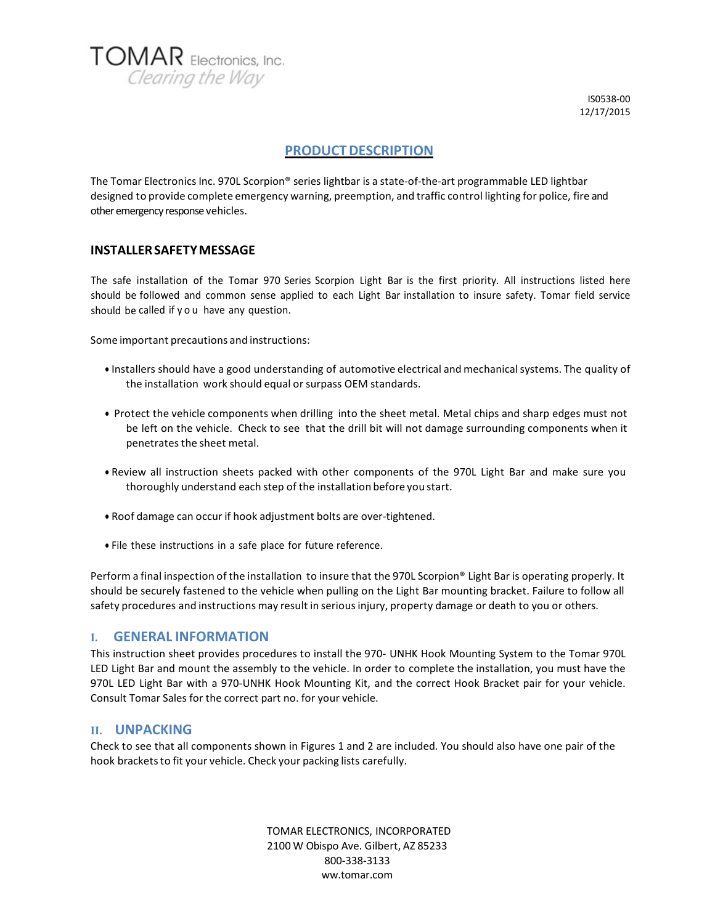

## **PRODUCTDESCRIPTION**

The Tomar Electronics Inc. 970L Scorpion® series lightbar is a state‐of‐the‐art programmable LED lightbar designed to provide complete emergency warning, preemption, and traffic control lighting for police, fire and other emergency response vehicles.

### **INSTALLERSAFETYMESSAGE**

The safe installation of the Tomar 970 Series Scorpion Light Bar is the first priority. All instructions listed here should be followed and common sense applied to each Light Bar installation to insure safety. Tomar field service should be called if you have any question.

Some important precautions and instructions:

- Installers should have a good understanding of automotive electrical and mechanical systems. The quality of the installation work should equal or surpass OEM standards.
- Protect the vehicle components when drilling into the sheet metal. Metal chips and sharp edges must not be left on the vehicle. Check to see that the drill bit will not damage surrounding components when it penetrates the sheet metal.
- Review all instruction sheets packed with other components of the 970L Light Bar and make sure you thoroughly understand each step of the installation before you start.
- Roof damage can occur if hook adjustment bolts are over‐tightened.
- File these instructions in a safe place for future reference.

Perform a final inspection of the installation to insure that the 970L Scorpion® Light Bar is operating properly. It should be securely fastened to the vehicle when pulling on the Light Bar mounting bracket. Failure to follow all safety procedures and instructions may result in serious injury, property damage or death to you or others.

#### **I. GENERAL INFORMATION**

This instruction sheet provides procedures to install the 970‐ UNHK Hook Mounting System to the Tomar 970L LED Light Bar and mount the assembly to the vehicle. In order to complete the installation, you must have the 970L LED Light Bar with a 970‐UNHK Hook Mounting Kit, and the correct Hook Bracket pair for your vehicle. Consult Tomar Sales for the correct part no. for your vehicle.

#### **II. UNPACKING**

Check to see that all components shown in Figures 1 and 2 are included. You should also have one pair of the hook brackets to fit your vehicle. Check your packing lists carefully.

> TOMAR ELECTRONICS, INCORPORATED 2100 W Obispo Ave. Gilbert, AZ 85233 800‐338‐3133 ww.tomar.com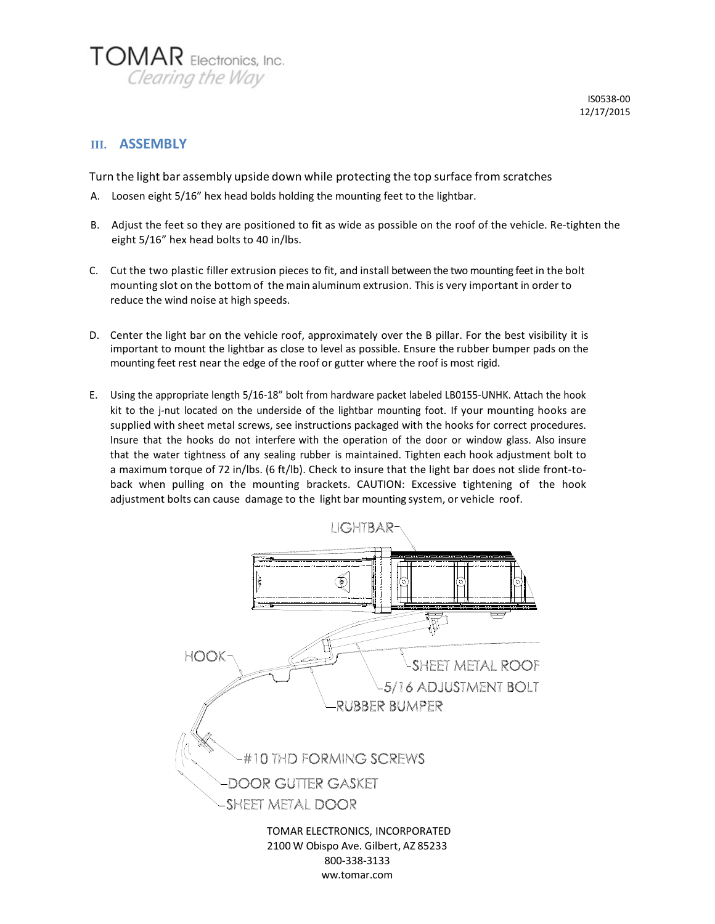

## **III. ASSEMBLY**

Turn the light bar assembly upside down while protecting the top surface from scratches

- A. Loosen eight 5/16" hex head bolds holding the mounting feet to the lightbar.
- B. Adjust the feet so they are positioned to fit as wide as possible on the roof of the vehicle. Re‐tighten the eight 5/16" hex head bolts to 40 in/lbs.
- C. Cut the two plastic filler extrusion pieces to fit, and install between the two mounting feetin the bolt mounting slot on the bottom of the main aluminum extrusion. This is very important in order to reduce the wind noise at high speeds.
- D. Center the light bar on the vehicle roof, approximately over the B pillar. For the best visibility it is important to mount the lightbar as close to level as possible. Ensure the rubber bumper pads on the mounting feet rest near the edge of the roof or gutter where the roof is most rigid.
- E. Using the appropriate length 5/16‐18" bolt from hardware packet labeled LB0155‐UNHK. Attach the hook kit to the j-nut located on the underside of the lightbar mounting foot. If your mounting hooks are supplied with sheet metal screws, see instructions packaged with the hooks for correct procedures. Insure that the hooks do not interfere with the operation of the door or window glass. Also insure that the water tightness of any sealing rubber is maintained. Tighten each hook adjustment bolt to a maximum torque of 72 in/lbs. (6 ft/lb). Check to insure that the light bar does not slide front-toback when pulling on the mounting brackets. CAUTION: Excessive tightening of the hook adjustment bolts can cause damage to the light bar mounting system, or vehicle roof.



ww.tomar.com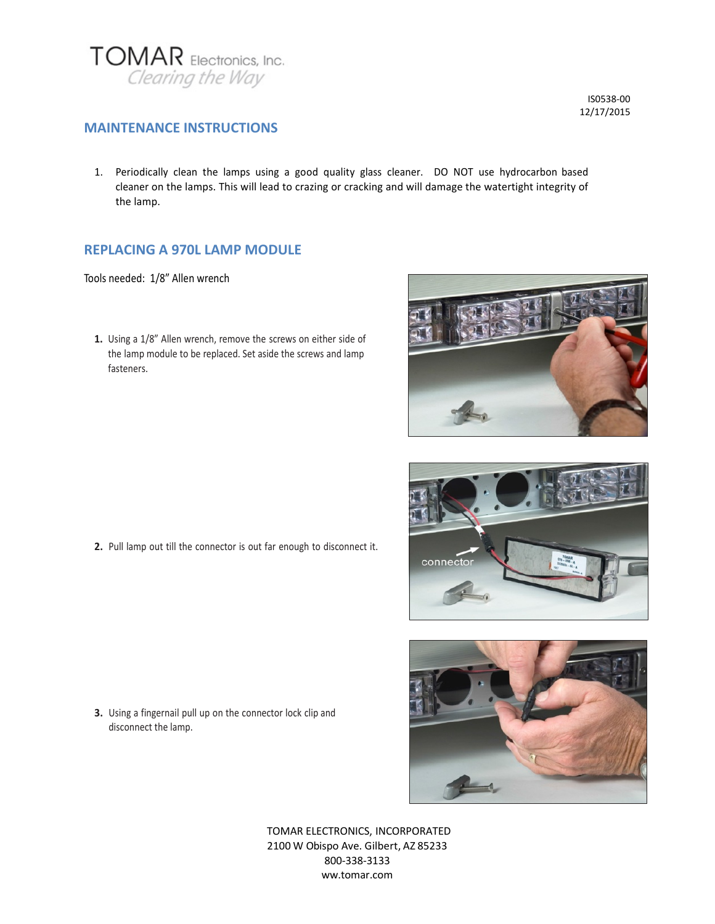

**MAINTENANCE INSTRUCTIONS**

1. Periodically clean the lamps using a good quality glass cleaner. DO NOT use hydrocarbon based cleaner on the lamps. This will lead to crazing or cracking and will damage the watertight integrity of the lamp.

## **REPLACING A 970L LAMP MODULE**

Tools needed: 1/8" Allen wrench

**1.** Using a 1/8" Allen wrench, remove the screws on either side of the lamp module to be replaced. Set aside the screws and lamp fasteners.

**2.** Pull lamp out till the connector is out far enough to disconnect it.







- TOMAR ELECTRONICS, INCORPORATED 2100 W Obispo Ave. Gilbert, AZ 85233 800‐338‐3133 ww.tomar.com
- **3.** Using a fingernail pull up on the connector lock clip and disconnect the lamp.

IS0538‐00 12/17/2015